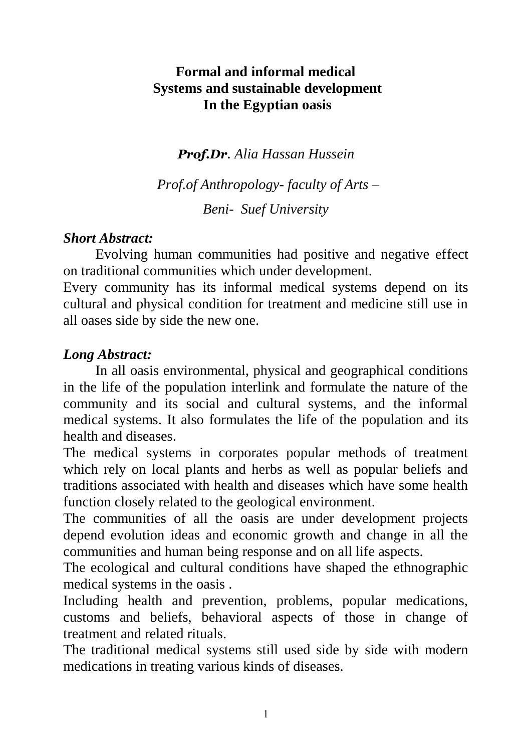# **Formal and informal medical Systems and sustainable development In the Egyptian oasis**

*Prof.Dr. Alia Hassan Hussein*

*Prof.of Anthropology- faculty of Arts – Beni- Suef University*

### *Short Abstract:*

Evolving human communities had positive and negative effect on traditional communities which under development.

Every community has its informal medical systems depend on its cultural and physical condition for treatment and medicine still use in all oases side by side the new one.

## *Long Abstract:*

In all oasis environmental, physical and geographical conditions in the life of the population interlink and formulate the nature of the community and its social and cultural systems, and the informal medical systems. It also formulates the life of the population and its health and diseases.

The medical systems in corporates popular methods of treatment which rely on local plants and herbs as well as popular beliefs and traditions associated with health and diseases which have some health function closely related to the geological environment.

The communities of all the oasis are under development projects depend evolution ideas and economic growth and change in all the communities and human being response and on all life aspects.

The ecological and cultural conditions have shaped the ethnographic medical systems in the oasis .

Including health and prevention, problems, popular medications, customs and beliefs, behavioral aspects of those in change of treatment and related rituals.

The traditional medical systems still used side by side with modern medications in treating various kinds of diseases.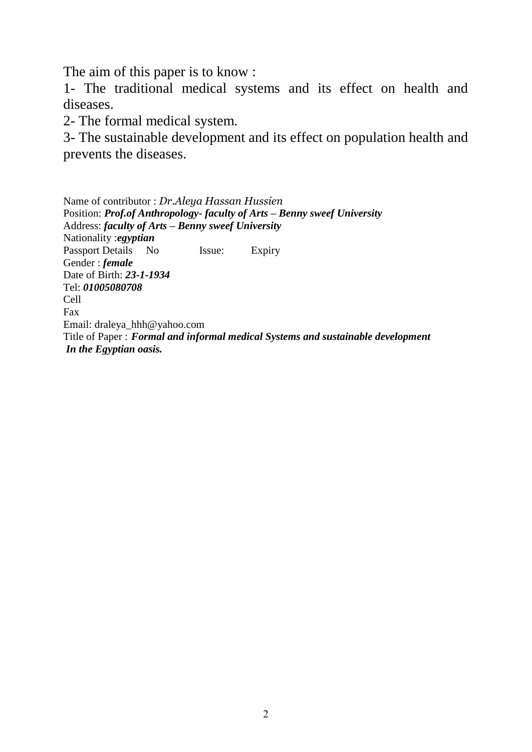The aim of this paper is to know :

1- The traditional medical systems and its effect on health and diseases.

2- The formal medical system.

3- The sustainable development and its effect on population health and prevents the diseases.

Name of contributor : *Dr.Aleya Hassan Hussien* Position: *Prof.of Anthropology- faculty of Arts – Benny sweef University* Address: *faculty of Arts – Benny sweef University* Nationality :*egyptian* Passport Details No Issue: Expiry Gender : *female* Date of Birth: *23-1-1934* Tel: *01005080708* Cell Fax Email: draleya\_hhh@yahoo.com Title of Paper : *Formal and informal medical Systems and sustainable development In the Egyptian oasis.*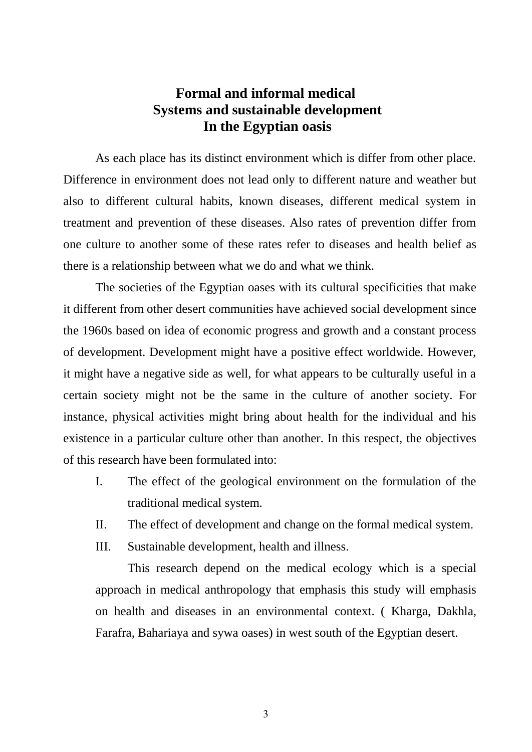### **Formal and informal medical Systems and sustainable development In the Egyptian oasis**

As each place has its distinct environment which is differ from other place. Difference in environment does not lead only to different nature and weather but also to different cultural habits, known diseases, different medical system in treatment and prevention of these diseases. Also rates of prevention differ from one culture to another some of these rates refer to diseases and health belief as there is a relationship between what we do and what we think.

The societies of the Egyptian oases with its cultural specificities that make it different from other desert communities have achieved social development since the 1960s based on idea of economic progress and growth and a constant process of development. Development might have a positive effect worldwide. However, it might have a negative side as well, for what appears to be culturally useful in a certain society might not be the same in the culture of another society. For instance, physical activities might bring about health for the individual and his existence in a particular culture other than another. In this respect, the objectives of this research have been formulated into:

- I. The effect of the geological environment on the formulation of the traditional medical system.
- II. The effect of development and change on the formal medical system.
- III. Sustainable development, health and illness.

This research depend on the medical ecology which is a special approach in medical anthropology that emphasis this study will emphasis on health and diseases in an environmental context. ( Kharga, Dakhla, Farafra, Bahariaya and sywa oases) in west south of the Egyptian desert.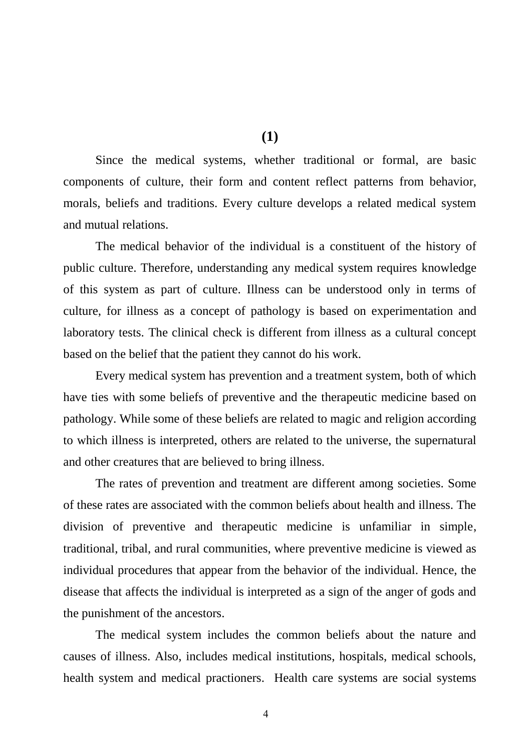**(1)**

Since the medical systems, whether traditional or formal, are basic components of culture, their form and content reflect patterns from behavior, morals, beliefs and traditions. Every culture develops a related medical system and mutual relations.

The medical behavior of the individual is a constituent of the history of public culture. Therefore, understanding any medical system requires knowledge of this system as part of culture. Illness can be understood only in terms of culture, for illness as a concept of pathology is based on experimentation and laboratory tests. The clinical check is different from illness as a cultural concept based on the belief that the patient they cannot do his work.

Every medical system has prevention and a treatment system, both of which have ties with some beliefs of preventive and the therapeutic medicine based on pathology. While some of these beliefs are related to magic and religion according to which illness is interpreted, others are related to the universe, the supernatural and other creatures that are believed to bring illness.

The rates of prevention and treatment are different among societies. Some of these rates are associated with the common beliefs about health and illness. The division of preventive and therapeutic medicine is unfamiliar in simple, traditional, tribal, and rural communities, where preventive medicine is viewed as individual procedures that appear from the behavior of the individual. Hence, the disease that affects the individual is interpreted as a sign of the anger of gods and the punishment of the ancestors.

The medical system includes the common beliefs about the nature and causes of illness. Also, includes medical institutions, hospitals, medical schools, health system and medical practioners. Health care systems are social systems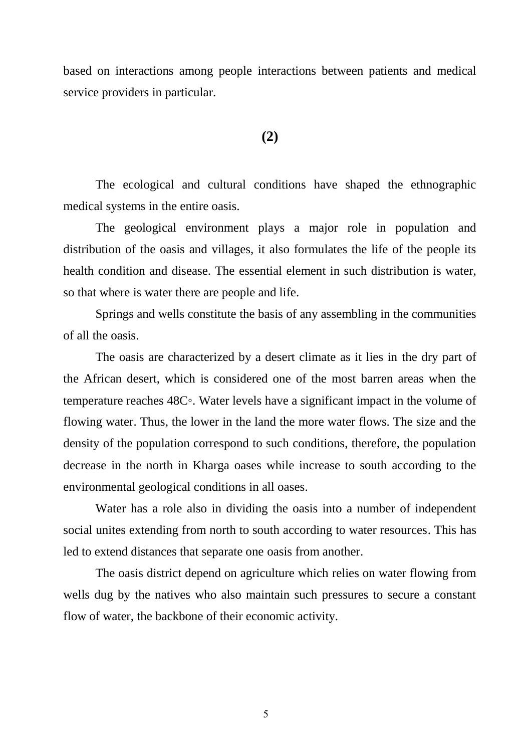based on interactions among people interactions between patients and medical service providers in particular.

#### **(2)**

The ecological and cultural conditions have shaped the ethnographic medical systems in the entire oasis.

The geological environment plays a major role in population and distribution of the oasis and villages, it also formulates the life of the people its health condition and disease. The essential element in such distribution is water, so that where is water there are people and life.

Springs and wells constitute the basis of any assembling in the communities of all the oasis.

The oasis are characterized by a desert climate as it lies in the dry part of the African desert, which is considered one of the most barren areas when the temperature reaches 48C◦. Water levels have a significant impact in the volume of flowing water. Thus, the lower in the land the more water flows. The size and the density of the population correspond to such conditions, therefore, the population decrease in the north in Kharga oases while increase to south according to the environmental geological conditions in all oases.

Water has a role also in dividing the oasis into a number of independent social unites extending from north to south according to water resources. This has led to extend distances that separate one oasis from another.

The oasis district depend on agriculture which relies on water flowing from wells dug by the natives who also maintain such pressures to secure a constant flow of water, the backbone of their economic activity.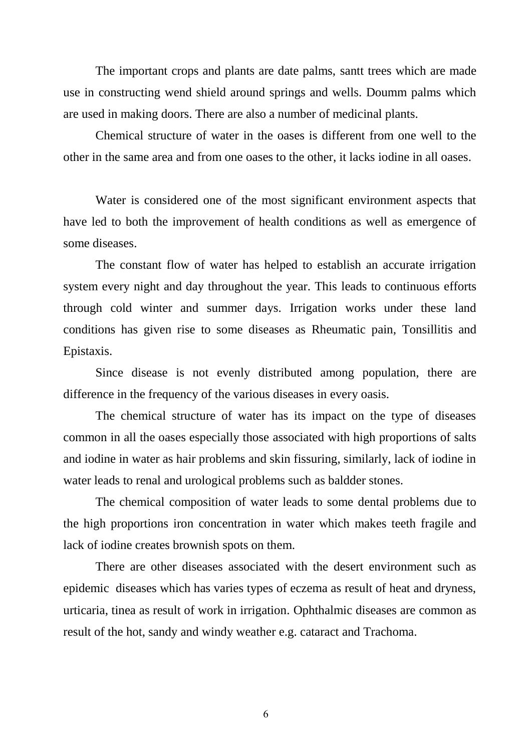The important crops and plants are date palms, santt trees which are made use in constructing wend shield around springs and wells. Doumm palms which are used in making doors. There are also a number of medicinal plants.

Chemical structure of water in the oases is different from one well to the other in the same area and from one oases to the other, it lacks iodine in all oases.

Water is considered one of the most significant environment aspects that have led to both the improvement of health conditions as well as emergence of some diseases.

The constant flow of water has helped to establish an accurate irrigation system every night and day throughout the year. This leads to continuous efforts through cold winter and summer days. Irrigation works under these land conditions has given rise to some diseases as Rheumatic pain, Tonsillitis and Epistaxis.

Since disease is not evenly distributed among population, there are difference in the frequency of the various diseases in every oasis.

The chemical structure of water has its impact on the type of diseases common in all the oases especially those associated with high proportions of salts and iodine in water as hair problems and skin fissuring, similarly, lack of iodine in water leads to renal and urological problems such as baldder stones.

The chemical composition of water leads to some dental problems due to the high proportions iron concentration in water which makes teeth fragile and lack of iodine creates brownish spots on them.

There are other diseases associated with the desert environment such as epidemic diseases which has varies types of eczema as result of heat and dryness, urticaria, tinea as result of work in irrigation. Ophthalmic diseases are common as result of the hot, sandy and windy weather e.g. cataract and Trachoma.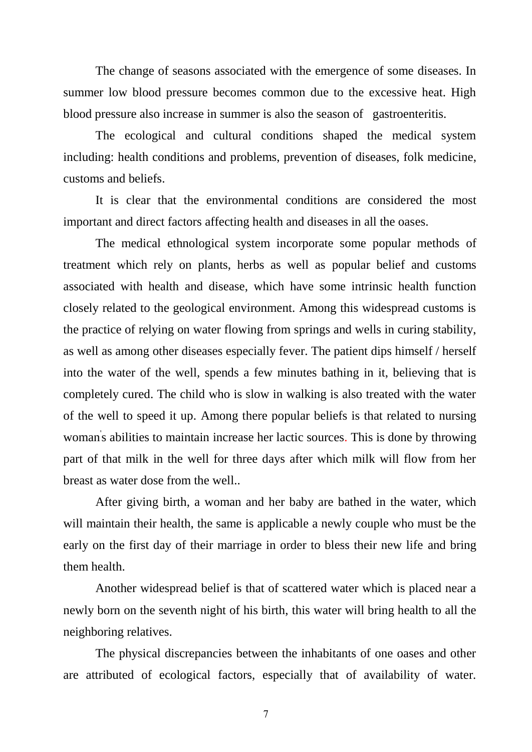The change of seasons associated with the emergence of some diseases. In summer low blood pressure becomes common due to the excessive heat. High blood pressure also increase in summer is also the season of gastroenteritis.

The ecological and cultural conditions shaped the medical system including: health conditions and problems, prevention of diseases, folk medicine, customs and beliefs.

It is clear that the environmental conditions are considered the most important and direct factors affecting health and diseases in all the oases.

The medical ethnological system incorporate some popular methods of treatment which rely on plants, herbs as well as popular belief and customs associated with health and disease, which have some intrinsic health function closely related to the geological environment. Among this widespread customs is the practice of relying on water flowing from springs and wells in curing stability, as well as among other diseases especially fever. The patient dips himself / herself into the water of the well, spends a few minutes bathing in it, believing that is completely cured. The child who is slow in walking is also treated with the water of the well to speed it up. Among there popular beliefs is that related to nursing woman's abilities to maintain increase her lactic sources. This is done by throwing part of that milk in the well for three days after which milk will flow from her breast as water dose from the well..

After giving birth, a woman and her baby are bathed in the water, which will maintain their health, the same is applicable a newly couple who must be the early on the first day of their marriage in order to bless their new life and bring them health.

Another widespread belief is that of scattered water which is placed near a newly born on the seventh night of his birth, this water will bring health to all the neighboring relatives.

The physical discrepancies between the inhabitants of one oases and other are attributed of ecological factors, especially that of availability of water.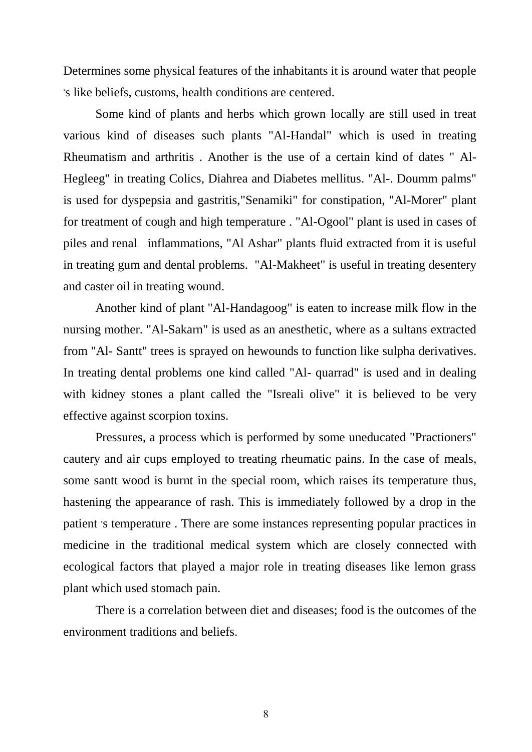Determines some physical features of the inhabitants it is around water that people , s like beliefs, customs, health conditions are centered.

Some kind of plants and herbs which grown locally are still used in treat various kind of diseases such plants "Al-Handal" which is used in treating Rheumatism and arthritis . Another is the use of a certain kind of dates " Al-Hegleeg" in treating Colics, Diahrea and Diabetes mellitus. "Al-. Doumm palms" is used for dyspepsia and gastritis,"Senamiki" for constipation, "Al-Morer" plant for treatment of cough and high temperature . "Al-Ogool" plant is used in cases of piles and renal inflammations, "Al Ashar" plants fluid extracted from it is useful in treating gum and dental problems. "Al-Makheet" is useful in treating desentery and caster oil in treating wound.

Another kind of plant "Al-Handagoog" is eaten to increase milk flow in the nursing mother. "Al-Sakarn" is used as an anesthetic, where as a sultans extracted from "Al- Santt" trees is sprayed on hewounds to function like sulpha derivatives. In treating dental problems one kind called "Al- quarrad" is used and in dealing with kidney stones a plant called the "Isreali olive" it is believed to be very effective against scorpion toxins.

Pressures, a process which is performed by some uneducated "Practioners" cautery and air cups employed to treating rheumatic pains. In the case of meals, some santt wood is burnt in the special room, which raises its temperature thus, hastening the appearance of rash. This is immediately followed by a drop in the patient 's temperature. There are some instances representing popular practices in medicine in the traditional medical system which are closely connected with ecological factors that played a major role in treating diseases like lemon grass plant which used stomach pain.

There is a correlation between diet and diseases; food is the outcomes of the environment traditions and beliefs.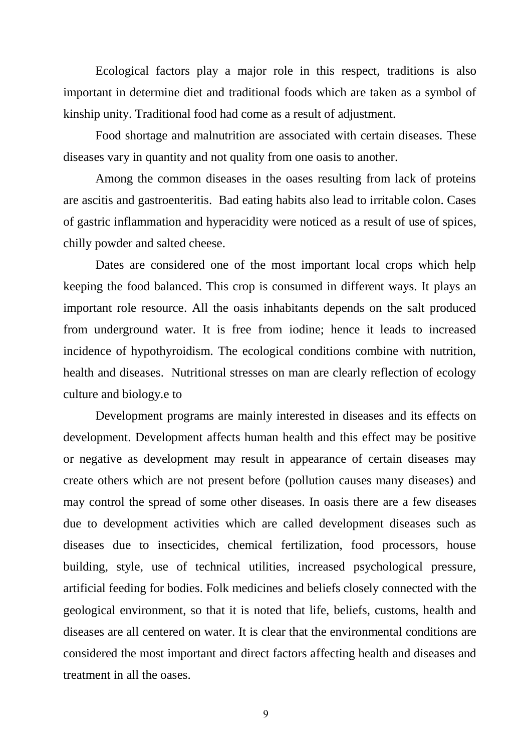Ecological factors play a major role in this respect, traditions is also important in determine diet and traditional foods which are taken as a symbol of kinship unity. Traditional food had come as a result of adjustment.

Food shortage and malnutrition are associated with certain diseases. These diseases vary in quantity and not quality from one oasis to another.

Among the common diseases in the oases resulting from lack of proteins are ascitis and gastroenteritis. Bad eating habits also lead to irritable colon. Cases of gastric inflammation and hyperacidity were noticed as a result of use of spices, chilly powder and salted cheese.

Dates are considered one of the most important local crops which help keeping the food balanced. This crop is consumed in different ways. It plays an important role resource. All the oasis inhabitants depends on the salt produced from underground water. It is free from iodine; hence it leads to increased incidence of hypothyroidism. The ecological conditions combine with nutrition, health and diseases. Nutritional stresses on man are clearly reflection of ecology culture and biology.e to

Development programs are mainly interested in diseases and its effects on development. Development affects human health and this effect may be positive or negative as development may result in appearance of certain diseases may create others which are not present before (pollution causes many diseases) and may control the spread of some other diseases. In oasis there are a few diseases due to development activities which are called development diseases such as diseases due to insecticides, chemical fertilization, food processors, house building, style, use of technical utilities, increased psychological pressure, artificial feeding for bodies. Folk medicines and beliefs closely connected with the geological environment, so that it is noted that life, beliefs, customs, health and diseases are all centered on water. It is clear that the environmental conditions are considered the most important and direct factors affecting health and diseases and treatment in all the oases.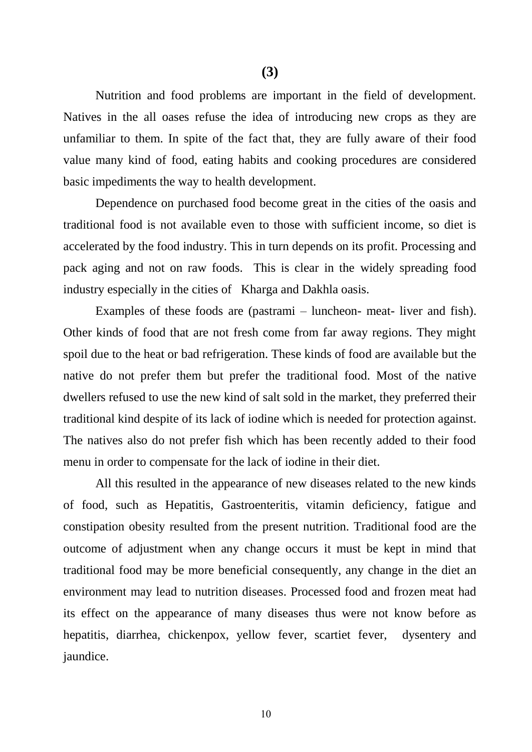Nutrition and food problems are important in the field of development. Natives in the all oases refuse the idea of introducing new crops as they are unfamiliar to them. In spite of the fact that, they are fully aware of their food value many kind of food, eating habits and cooking procedures are considered basic impediments the way to health development.

Dependence on purchased food become great in the cities of the oasis and traditional food is not available even to those with sufficient income, so diet is accelerated by the food industry. This in turn depends on its profit. Processing and pack aging and not on raw foods. This is clear in the widely spreading food industry especially in the cities of Kharga and Dakhla oasis.

Examples of these foods are (pastrami – luncheon- meat- liver and fish). Other kinds of food that are not fresh come from far away regions. They might spoil due to the heat or bad refrigeration. These kinds of food are available but the native do not prefer them but prefer the traditional food. Most of the native dwellers refused to use the new kind of salt sold in the market, they preferred their traditional kind despite of its lack of iodine which is needed for protection against. The natives also do not prefer fish which has been recently added to their food menu in order to compensate for the lack of iodine in their diet.

All this resulted in the appearance of new diseases related to the new kinds of food, such as Hepatitis, Gastroenteritis, vitamin deficiency, fatigue and constipation obesity resulted from the present nutrition. Traditional food are the outcome of adjustment when any change occurs it must be kept in mind that traditional food may be more beneficial consequently, any change in the diet an environment may lead to nutrition diseases. Processed food and frozen meat had its effect on the appearance of many diseases thus were not know before as hepatitis, diarrhea, chickenpox, yellow fever, scartiet fever, dysentery and jaundice.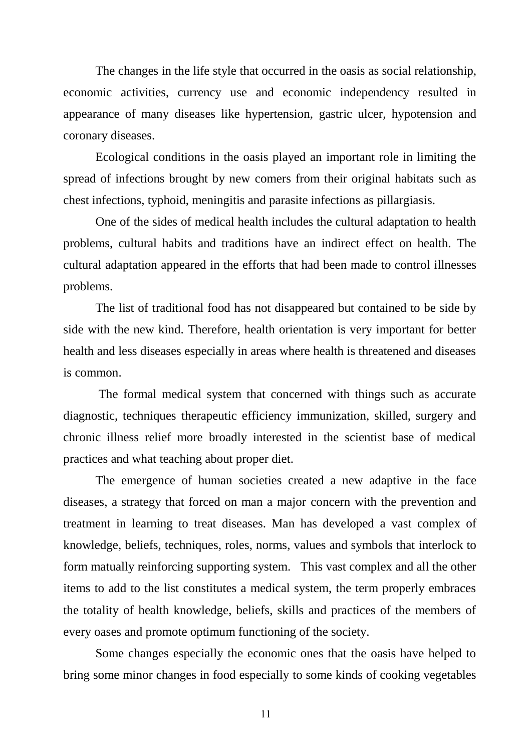The changes in the life style that occurred in the oasis as social relationship, economic activities, currency use and economic independency resulted in appearance of many diseases like hypertension, gastric ulcer, hypotension and coronary diseases.

Ecological conditions in the oasis played an important role in limiting the spread of infections brought by new comers from their original habitats such as chest infections, typhoid, meningitis and parasite infections as pillargiasis.

One of the sides of medical health includes the cultural adaptation to health problems, cultural habits and traditions have an indirect effect on health. The cultural adaptation appeared in the efforts that had been made to control illnesses problems.

The list of traditional food has not disappeared but contained to be side by side with the new kind. Therefore, health orientation is very important for better health and less diseases especially in areas where health is threatened and diseases is common.

The formal medical system that concerned with things such as accurate diagnostic, techniques therapeutic efficiency immunization, skilled, surgery and chronic illness relief more broadly interested in the scientist base of medical practices and what teaching about proper diet.

The emergence of human societies created a new adaptive in the face diseases, a strategy that forced on man a major concern with the prevention and treatment in learning to treat diseases. Man has developed a vast complex of knowledge, beliefs, techniques, roles, norms, values and symbols that interlock to form matually reinforcing supporting system. This vast complex and all the other items to add to the list constitutes a medical system, the term properly embraces the totality of health knowledge, beliefs, skills and practices of the members of every oases and promote optimum functioning of the society.

Some changes especially the economic ones that the oasis have helped to bring some minor changes in food especially to some kinds of cooking vegetables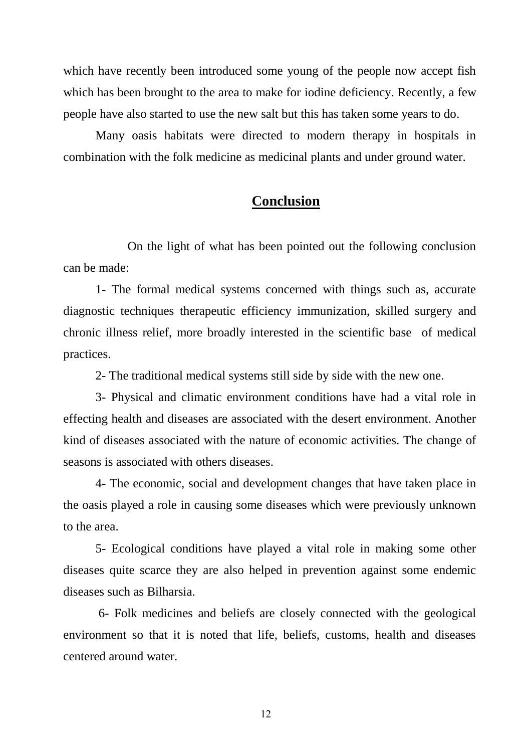which have recently been introduced some young of the people now accept fish which has been brought to the area to make for iodine deficiency. Recently, a few people have also started to use the new salt but this has taken some years to do.

Many oasis habitats were directed to modern therapy in hospitals in combination with the folk medicine as medicinal plants and under ground water.

#### **Conclusion**

On the light of what has been pointed out the following conclusion can be made:

1- The formal medical systems concerned with things such as, accurate diagnostic techniques therapeutic efficiency immunization, skilled surgery and chronic illness relief, more broadly interested in the scientific base of medical practices.

2- The traditional medical systems still side by side with the new one.

3- Physical and climatic environment conditions have had a vital role in effecting health and diseases are associated with the desert environment. Another kind of diseases associated with the nature of economic activities. The change of seasons is associated with others diseases.

4- The economic, social and development changes that have taken place in the oasis played a role in causing some diseases which were previously unknown to the area.

5- Ecological conditions have played a vital role in making some other diseases quite scarce they are also helped in prevention against some endemic diseases such as Bilharsia.

6- Folk medicines and beliefs are closely connected with the geological environment so that it is noted that life, beliefs, customs, health and diseases centered around water.